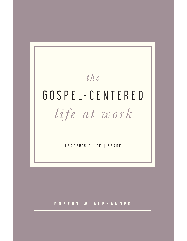# *t h e life at work* G O S P E L- C E N T E R E D

L E A D E R ' S G U I D E | S E R G E

R o b e r t W . A L E X A N D E R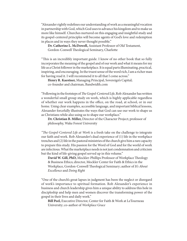"Alexander rightly redefines our understanding of work as a meaningful vocation in partnership with God, which God uses to advance his kingdom and to make us more like himself. Churches nurtured on this engaging and insightful study and its gospel-centered principles will become agents of God's love and redemption in places and in ways they never thought possible."

**Dr. Catherine L. McDowell,** Assistant Professor of Old Testament, Gordon-Conwell Theological Seminary, Charlotte

"This is an incredibly important guide. I know of no other book that so fully incorporates the meaning of the gospel and of our work and what it means for my life as a Christ follower in the marketplace. It is equal parts illuminating, practical, inspiring, and encouraging. In the truest sense of the word rich, I am a richer man for having read it. I will recommend it to all that I come across."

**Henry R. Kaestner,** Managing Principal, Sovereign's Capital;

co-founder and chairman, Bandwidth.com

"Following in the footsteps of The Gospel-Centered Life, Rob Alexander has written a wonderful small group study on work, which is highly applicable regardless of whether our work happens in the office, on the road, at school, or in our home. Using clear examples, accessible language, and important biblical lessons, Alexander forcefully illustrates the ways that God can use our work to shape us as Christians while also using us to shape our workplace."

**Dr. Christian B. Miller,** Director of the Character Project; professor of philosophy, Wake Forest University

"The Gospel-Centered Life at Work is a fresh take on the challenge to integrate our faith and work. Rob Alexander's dual experience of (1) life in the workplace trenches and (2) life in the pastoral ministries of the church give him a rare capacity to prepare this study. His passion for the Word of God and for the world of work are infectious. What the marketplace needs is not just condemnation and criticism but the kind of life-giving gospel served up in this volume."

David W. Gill, PhD, Mockler-Phillips Professor of Workplace Theology & Business Ethics; director, Mockler Center for Faith & Ethics in the Workplace, Gordon-Conwell Theological Seminary; author of It's About Excellence and Doing Right

"One of the church's great lapses in judgment has been the neglect or disregard of work's importance to spiritual formation. Rob Alexander's experience in business and church leadership gives him a unique ability to address this hole in discipleship and help men and women discover the transforming power of the gospel in their lives and daily work."

**Bill Peel,** Executive Director, Center for Faith & Work at LeTourneau University; co-author of Workplace Grace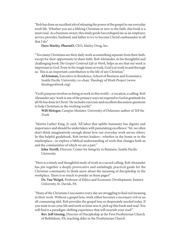"Rob has done an excellent job of releasing the power of the gospel in our everyday work life. Whether you are a lifelong Christian or new to the faith, this book is a must read. As a business owner, this study guide has reshaped me as an employer, service provider, husband, and father to try to become Christ's ambassador in all that I do."

**Dave Marley, PharmD,** CEO, Marley Drug, Inc.

"Too many Christians see their daily work as something separate from their faith, except for their opportunity to share faith. Rob Alexander, in his thoughtful and challenging book The Gospel-Centered Life at Work, helps us see that our work is important to God. Even in the tough times at work, God is at work in and through us. This is an important contribution to the life of any Christian."

**Al Erisman,** Executive in Residence, School of Business and Economics, Seattle Pacific University; co-chair, Theology of Work Project (www. theologyofwork.org)

"God's purpose involves us being at work in this world—a vocation, a calling. Rob Alexander says 'work is one of the primary ways we respond to God in gratitude for all He has done in Christ.' He includes exercises and excellent discussion questions to help Christians in the working world."

**Will Metzger,** Campus Minister, University of Delaware; author of Tell the Truth

"Martin Luther King, Jr. said, 'All labor that upli\*s humanity has dignity and importance and should be undertaken with painstaking excellence.' Yet, we often don't think imaginatively enough about how our everyday work serves others. In this helpful guidebook, Rob invites leaders—whether in the home or in the marketplace—to explore a biblical understanding of work that changes both us and the communities of which we are a part."

**John Terrill, Director, Center for Integrity in Business, Seattle Pacific** University

"Here is a timely and thoughtful study of work as a sacred calling. Rob Alexander has put together a deeply provocative and unfailingly practical guide for the Christian community to think anew about the meaning of discipleship in the workplace. There is so much to ponder in these pages!"

**Dr. Van Weigel,** Professor of Ethics and Economic Development, Eastern University, St. Davids, PA

"Many of the Christians I encounter every day are struggling to find real meaning in their work. Without a gospel lens, work either becomes a necessary evil or an all-consuming idol. Rob provides the gospel lens so desperately needed today. If you want to see your life and work as Jesus sees it, pick up this book and read. You will find it a paradigm-shifting experience that will nourish your soul!"

Rev. Jeff Gissing, Director of Discipleship at the First Presbyterian Church of Bethlehem, PA; teaching elder in the Presbyterian Church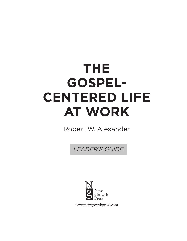## **THE GOSPEL-CENTERED LIFE AT WORK**

Robert W. Alexander

 *LEADER'S GUIDE* 



www.newgrowthpress.com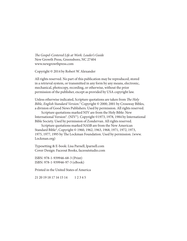The Gospel-Centered Life at Work: Leader's Guide New Growth Press, Greensboro, NC 27404 www.newgrowthpress.com

Copyright © 2014 by Robert W. Alexander

All rights reserved. No part of this publication may be reproduced, stored in a retrieval system, or transmitted in any form by any means, electronic, mechanical, photocopy, recording, or otherwise, without the prior permission of the publisher, except as provided by USA copyright law.

Unless otherwise indicated, Scripture quotations are taken from The Holy Bible, English Standard Version.® Copyright © 2000; 2001 by Crossway Bibles, a division of Good News Publishers. Used by permission. All rights reserved.

Scripture quotations marked NIV are from the Holy Bible: New International Version®. (NIV®). Copyright ©1973, 1978, 1984 by International Bible Society. Used by permission of Zondervan. All rights reserved.

Scripture quotations marked NASB are from the New American Standard Bible®, Copyright © 1960, 1962, 1963, 1968, 1971, 1972, 1973, 1975, 1977, 1995 by The Lockman Foundation. Used by permission. (www. Lockman.org)

Typesetting & E-book: Lisa Parnell, lparnell.com Cover Design: Faceout Books, faceoutstudio.com

ISBN: 978-1-939946-68-3 (Print) ISBN: 978-1-939946-97-3 (eBook)

Printed in the United States of America

21 20 19 18 17 16 15 14 1 2 3 4 5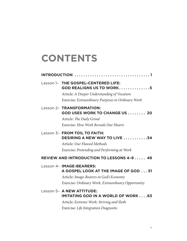## **CONTENTS**

|                                            | INTRODUCTION 1                                                                                                                                                             |  |
|--------------------------------------------|----------------------------------------------------------------------------------------------------------------------------------------------------------------------------|--|
|                                            | Lesson 1- THE GOSPEL-CENTERED LIFE:<br><b>GOD REALIGNS US TO WORK5</b><br>Article: A Deeper Understanding of Vocation<br>Exercise: Extraordinary Purposes in Ordinary Work |  |
|                                            | Lesson 2- TRANSFORMATION:<br><b>GOD USES WORK TO CHANGE US  20</b><br>Article: The Daily Grind<br><b>Exercise: How Work Reveals Our Hearts</b>                             |  |
|                                            | Lesson 3- FROM TOIL TO FAITH:<br><b>DESIRING A NEW WAY TO LIVE 34</b><br><b>Article: Our Flawed Methods</b><br>Exercise: Pretending and Performing at Work                 |  |
| REVIEW AND INTRODUCTION TO LESSONS 4-9  49 |                                                                                                                                                                            |  |
|                                            | Lesson 4- IMAGE-BEARERS:<br>A GOSPEL LOOK AT THE IMAGE OF GOD  51<br>Article: Image-Bearers in God's Economy<br>Exercise: Ordinary Work, Extraordinary Opportunity         |  |
|                                            | Lesson 5- A NEW ATTITUDE:<br><b>IMITATING GOD IN A WORLD OF WORK63</b><br>Article: Extreme Work: Striving and Sloth<br>Exercise: Life Integration Diagnostic               |  |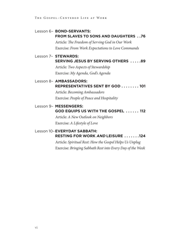#### Lesson 6– **BOND-SERVANTS: FROM SLAVES TO SONS AND DAUGHTERS . .76**

Article: The Freedom of Serving God in Our Work Exercise: From Work Expectations to Love Commands

#### Lesson 7– **STEWARDS:**

#### **SERVING JESUS BY SERVING OTHERS . . . . .89**

Article: Two Aspects of Stewardship Exercise: My Agenda, God's Agenda

#### Lesson 8– **AMBASSADORS: REPRESENTATIVES SENT BY GOD . . . . . . . . 101**

Article: Becoming Ambassadors Exercise: People of Peace and Hospitality

#### Lesson 9– **MESSENGERS: GOD EQUIPS US WITH THE GOSPEL . . . . . . 112**

Article: A New Outlook on Neighbors Exercise: A Lifestyle of Love

#### Lesson 10– **EVERYDAY SABBATH: RESTING FOR WORK AND LEISURE . . . . . . .124**

Article: Spiritual Rest: How the Gospel Helps Us Unplug Exercise: Bringing Sabbath Rest into Every Day of the Week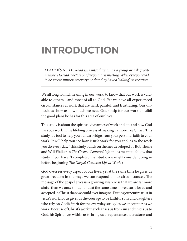## **INTRODUCTION**

LEADER'S NOTE: Read this introduction as a group or ask group members to read it before or after your first meeting. Whenever you read it, be sure to impress on everyone that they have a "calling" or vocation.

We all long to find meaning in our work, to know that our work is valuable to others—and most of all to God. Yet we have all experienced circumstances at work that are hard, painful, and frustrating. Our dif ficulties show us how much we need God's help for our work to fulfill the good plans he has for this area of our lives.

This study is about the spiritual dynamics of work and life and how God uses our work in the lifelong process of making us more like Christ. This study is a tool to help you build a bridge from your personal faith to your work. It will help you see how Jesus's work for you applies to the work you do every day. (This study builds on themes developed by Bob Thune and Will Walker in *The Gospel-Centered Life* and is meant to follow that study. If you haven't completed that study, you might consider doing so before beginning The Gospel-Centered Life at Work.)

God oversees every aspect of our lives, yet at the same time he gives us great freedom in the ways we can respond to our circumstances. The message of the gospel gives us a growing awareness that we are far more sinful than we once thought but at the same time more dearly loved and accepted in Christ than we could ever imagine. Putting our entire trust in Jesus's work for us gives us the courage to be faithful sons and daughters who rely on God's Spirit for the everyday struggles we encounter as we work. Because of Christ's work that cleanses us from sin and unites us to God, his Spirit lives within us to bring us to repentance that restores and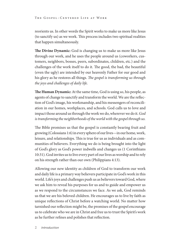reorients us. In other words the Spirit works to make us more like Jesus (to sanctify us) as we work. #is process includes two spiritual realities that happen simultaneously.

**The Divine Dynamic:** God is changing us to make us more like Jesus through our work, and he uses the people around us (coworkers, customers, neighbors, bosses, peers, subordinates, children, etc.) and the challenges of the work itself to do it. The good, the bad, the beautiful (even the ugly) are intended by our heavenly Father for our good and his glory as he restores all things. The gospel is transforming us through the joys and challenges of daily life.

**The Human Dynamic:** At the same time, God is using us, his people, as agents of change to sanctify and transform the world. We are the reflection of God's image, his workmanship, and his messengers of reconciliation in our homes, workplaces, and schools. God calls us to love and impact those around us through the work we do, wherever we do it. God is transforming the neighborhoods of the world with the gospel through us.

The Bible promises us that the gospel is constantly bearing fruit and growing (Colossians 1:6) in every sphere of our lives—in our home, work, leisure, and relationships. This is true for us as individuals and as communities of believers. Everything we do is being brought into the light of God's glory as God's power indwells and changes us (1 Corinthians 10:31). God invites us to live every part of our lives as worship and to rely on his strength rather than our own (Philippians 4:13).

Allowing our new identity as children of God to transform our work and daily life is a primary way believers participate in God's work in this world. Life's joys and challenges push us as believers toward God, where we ask him to reveal his purposes for us and to guide and empower us as we respond to the circumstances we face. As we ask, God reminds us that we are his beloved children. He encourages us to live by faith as unique reflections of Christ before a watching world. No matter how tarnished our reflection might be, the promises of the gospel encourage us to celebrate who we are in Christ and free us to trust the Spirit's work as he further refines and polishes that reflection.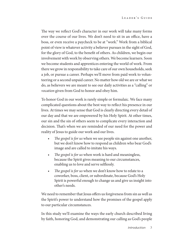The way we reflect God's character in our work will take many forms over the course of our lives. We don't need to sit in an office, have a boss, or even receive a paycheck to be at "work." Work from a biblical point of view is whatever activity a believer pursues in the sight of God, for the glory of God, to the benefit of others. As children, we begin our involvement with work by observing others. We become learners. Soon we become students and apprentices entering the world of work. From there we grow in responsibility to take care of our own households, seek a job, or pursue a career. Perhaps we'll move from paid work to volunteering or a second unpaid career. No matter how old we are or what we do, as believers we are meant to see our daily activities as a "calling" or vocation given from God to honor and obey him.

To honor God in our work is rarely simple or formulaic. We face many complicated questions about the best way to reflect his presence in our lives. At times we may sense that God is clearly directing every detail of our day and that we are empowered by his Holy Spirit. At other times, our sin and the sin of others seem to complicate every interaction and decision. That's when we are reminded of our need for the power and reality of Jesus to guide our work and our lives.

- The gospel is for us when we see people sin against one another, but we don't know how to respond as children who bear God's image and are called to imitate his ways.
- The gospel is for us when work is hard and meaningless, because the Spirit gives meaning to our circumstances, enabling us to love and serve selflessly.
- The gospel is for us when we don't know how to relate to a coworker, boss, client, or subordinate, because God's Holy Spirit is powerful enough to change us and give us insight into other's needs.

We need to remember that Jesus offers us forgiveness from sin as well as the Spirit's power to understand how the promises of the gospel apply to our particular circumstances.

In this study we'll examine the ways the early church described living by faith, honoring God, and demonstrating our calling as God's people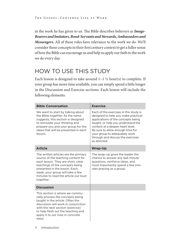in the work he has given to us. The Bible describes believers as **Image-Bearers and Imitators, Bond-Servants and Stewards, Ambassadors and Messengers.** All of these roles have relevance to the work we do. We'll consider these concepts in their first century context to get a fuller sense of how the Bible can encourage us and help us apply our faith to the work we do every day.

#### HOW TO USE THIS STUDY

Each lesson is designed to take around  $1-1 \frac{1}{2}$  hour(s) to complete. If your group has more time available, you can simply spend a little longer in the Discussion and Exercise sections. Each lesson will include the following elements:

| <b>Bible Conversation</b>                                                                                                                                                                                                                                                     | <b>Exercise</b>                                                                                                                                                                                                                                                                                                         |
|-------------------------------------------------------------------------------------------------------------------------------------------------------------------------------------------------------------------------------------------------------------------------------|-------------------------------------------------------------------------------------------------------------------------------------------------------------------------------------------------------------------------------------------------------------------------------------------------------------------------|
| We want to start by talking about<br>the Bible together. As the name<br>suggests, this section is designed<br>to stimulate your thinking and<br>prepare you and your group for the<br>ideas that will be presented in each<br>lesson.                                         | Each of the exercises in this study is<br>designed to help you make practical<br>applications of the concepts being<br>taught, or help you understand the<br>content at a deeper heart level.<br>Be sure to allow enough time for<br>your group to adequately work<br>through and discuss the exercises<br>as directed. |
| <b>Article</b>                                                                                                                                                                                                                                                                | <b>Wrap-Up</b>                                                                                                                                                                                                                                                                                                          |
| The written articles are the primary<br>source of the teaching content for<br>each lesson. They are short, clear<br>teachings of the concepts being<br>presented in the lesson. Each<br>week, your group will take a few<br>minutes to read the article out loud<br>together. | The wrap-up gives the leader the<br>chance to answer any last minute<br>questions, reinforce ideas, and<br>most importantly spend a few min-<br>utes praying as a group.                                                                                                                                                |
| <b>Discussion</b>                                                                                                                                                                                                                                                             |                                                                                                                                                                                                                                                                                                                         |
| This section is where we commu-<br>nally process the concepts being<br>taught in the article. Often the<br>discussion will work in conjunction<br>with the next section (exercise)<br>to help flesh out the teaching and<br>apply it to our lives in concrete<br>ways.        |                                                                                                                                                                                                                                                                                                                         |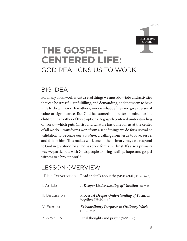### **1** *esso*<br> **1 LEADER'S**<br> **GUIDE** lesson **LEADER'S GUIDE**

### **THE GOSPEL-CENTERED LIFE:** GOD REALIGNS US TO WORK

#### BIG IDEA

For many of us, work is just a set of things we must do—jobs and activities that can be stressful, unful filling, and demanding, and that seem to have little to do with God. For others, work is what defines and gives personal value or significance. But God has something better in mind for his children than either of these options. A gospel-centered understanding of work—which puts Christ and what he has done for us at the center of all we do—transforms work from a set of things we do for survival or validation to become our vocation, a calling from Jesus to love, serve, and follow him. This makes work one of the primary ways we respond to God in gratitude for all he has done for us in Christ. It's also a primary way we participate with God's people to bring healing, hope, and gospel witness to a broken world.

#### LESSON OVERVIEW

| I. Bible Conversation | Read and talk about the passage(s) [10-20 min]                     |
|-----------------------|--------------------------------------------------------------------|
| II. Article           | A Deeper Understanding of Vocation [10 min]                        |
| III. Discussion       | Process A Deeper Understanding of Vocation<br>together [15-20 min] |
| IV. Exercise          | <b>Extraordinary Purposes in Ordinary Work</b><br>$[15-25 min]$    |
| V. Wrap-Up            | Final thoughts and prayer [5-10 min]                               |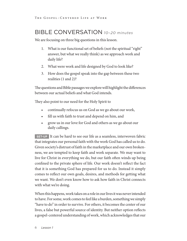#### BIBLE CONVERSATION *10–20 minutes*

We are focusing on three big questions in this lesson.

- 1. What is our functional set of beliefs (not the spiritual "right" answer, but what we really think) as we approach work and daily life?
- 2. What were work and life designed by God to look like?
- 3. How does the gospel speak into the gap between these two realities (1 and 2)?

The questions and Bible passages we explore will highlight the differences between our actual beliefs and what God intends.

They also point to our need for the Holy Spirit to

- continually refocus us on God as we go about our work,
- fill us with faith to trust and depend on him, and
- t grow us in our love for God and others as we go about our daily callings.

 **SET-UP** It can be hard to see our life as a seamless, interwoven fabric that integrates our personal faith with the work God has called us to do. Given society's distrust of faith in the marketplace and our own brokenness, we are tempted to keep faith and work separate. We may want to live for Christ in everything we do, but our faith often winds up being confined to the private sphere of life. Our work doesn't reflect the fact that it is something God has prepared for us to do. Instead it simply comes to reflect our own goals, desires, and methods for getting what we want. We don't even know how to ask how faith in Christ connects with what we're doing.

When this happens, work takes on a role in our lives it was never intended to have. For some, work comes to feel like a burden, something we simply "have to do" in order to survive. For others, it becomes the center of our lives, a false but powerful source of identity. But neither option reflects a gospel-centered understanding of work, which acknowledges that our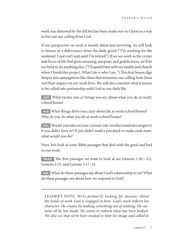work was distorted by the fall but has been made new in Christ as a way to live out our calling from God.

If our perspective on work is mostly about just surviving, we will look to leisure as a deliverance from the daily grind ("I'm working for the weekend. I just can't wait until I'm retired.") If we see work as the center and focus of life that gives meaning, purpose, and gratification, we'll be too busy to do anything else. ("I'll spend time with my family and church when I finish this project. What I do *is* who I am.") This first lesson digs deeper into assumptions like these that minimize our calling from Jesus and their impact on our work lives. We will also consider what it means to be called into partnership with God in our daily life.

 **ASK** What excites you or brings you joy about what you do at work/ school/home?

**ASK What things drive you crazy about life at work/school/home?** Why do you do what you do at work/school/home?

 **ASK** Would you take on your current role (worker/student/caregiver) if you didn't have to? If you didn't need a paycheck to make ends meet, what would you do?

Next, let's look at some Bible passages that deal with the good and bad in our work.

**READ** The first passages we want to look at are Genesis 1:26–2:2, Genesis 2:15, and Genesis 3:17–24.

**ASK What do these passages say about God's relationship to us? What** do these passages say about how we respond to God?

LEADER'S NOTE: We're primarily looking for answers about the kinds of work God is engaged in here. God's work reflects his character. He creates by making something out of nothing. He sustains all he has made. He comes to redeem what has been broken. We also see that we've been created to bear his image and called to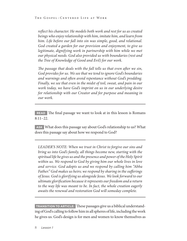reflect his character. He models both work and rest for us as created beings who enjoy relationship with him, imitate him, and learn from him. Life before our fall into sin was simple, good, and relational. God created a garden for our provision and enjoyment, to give us legitimate, dignifying work in partnership with him while we met our physical needs. God also provided us with boundaries (rest and the Tree of Knowledge of Good and Evil) for our work.

The passage that deals with the fall tells us that even after we sin, God provides for us. We see that we tend to ignore God's boundaries and warnings and often avoid repentance without God's prodding. Finally, we see that even in the midst of toil, sweat, and pain in our work today, we have God's imprint on us in our underlying desire for relationship with our Creator and for purpose and meaning in our work.

**READ** The final passage we want to look at in this lesson is Romans 8:11–22.

 **ASK** What does this passage say about God's relationship to us? What does this passage say about how we respond to God?

LEADER'S NOTE: When we trust in Christ to forgive our sins and bring us into God's family, all things become new, starting with the spiritual life he gives us and the presence and power of the Holy Spirit within us. We respond to God by giving him our whole lives in love and service. God adopts us and we respond by calling him "Abba Father." God makes us heirs; we respond by sharing in the sufferings of Jesus. God is glorifying us alongside Jesus. We look forward to our ultimate glorification because it represents our freedom and a return to the way life was meant to be. In fact, the whole creation eagerly awaits the renewal and restoration God will someday complete.

**TRANSITION TO ARTICLE:** These passages give us a biblical understanding of God's calling to follow him in all spheres of life, including the work he gives us. God's design is for men and women to know themselves as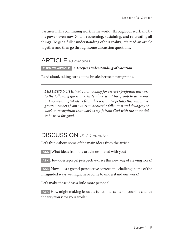partners in his continuing work in the world. Through our work and by his power, even now God is redeeming, sustaining, and re-creating all things. To get a fuller understanding of this reality, let's read an article together and then go through some discussion questions.

#### ARTICLE *10 minutes*

#### **TURN TO ARTICLE: A Deeper Understanding of Vocation**

Read aloud, taking turns at the breaks between paragraphs.

LEADER'S NOTE: We're not looking for terribly profound answers to the following questions. Instead we want the group to draw one or two meaningful ideas from this lesson. Hopefully this will move group members from cynicism about the fallenness and drudgery of work to recognition that work is a gift from God with the potential to be used for good.

#### DISCUSSION *15–20 minutes*

Let's think about some of the main ideas from the article.

**ASK** What ideas from the article resonated with you?

 **ASK** How does a gospel perspective drive this new way of viewing work?

 **ASK** How does a gospel perspective correct and challenge some of the misguided ways we might have come to understand our work?

Let's make these ideas a little more personal.

 **ASK** How might making Jesus the functional center of your life change the way you view your work?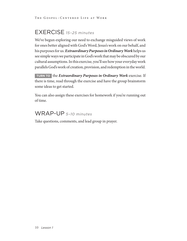#### EXERCISE *15–25 minutes*

We've begun exploring our need to exchange misguided views of work for ones better aligned with God's Word, Jesus's work on our behalf, and his purposes for us. **Extraordinary Purposes in Ordinary Work** helps us see simple ways we participate in God's work that may be obscured by our cultural assumptions. In this exercise, you'll see how your everyday work parallels God's work of creation, provision, and redemption in the world.

 **TURN TO** the **Extraordinary Purposes in Ordinary Work** exercise. If there is time, read through the exercise and have the group brainstorm some ideas to get started.

You can also assign these exercises for homework if you're running out of time.

#### WRAP-UP *5–10 minutes*

Take questions, comments, and lead group in prayer.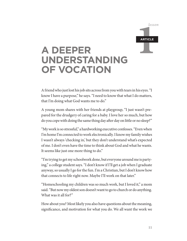## **1** *esso*<br> **ARTICLE** lesson **ARTICLE**

### **A DEEPER UNDERSTANDING OF VOCATION**

A friend who just lost his job sits across from you with tears in his eyes. "I know I have a purpose," he says. "I need to know that what I do matters, that I'm doing what God wants me to do."

A young mom shares with her friends at playgroup, "I just wasn't prepared for the drudgery of caring for a baby. I love her so much, but how do you cope with doing the same thing day after day on little or no sleep?"

"My work is so stressful," a hardworking executive confesses. "Even when I'm home I'm connected to work electronically. I know my family wishes I wasn't always 'checking in,' but they don't understand what's expected of me. I don't even have the time to think about God and what he wants. It seems like just one more thing to do."

"I'm trying to get my schoolwork done, but everyone around me is partying," a college student says. "I don't know if I'll get a job when I graduate anyway, so usually I go for the fun. I'm a Christian, but I don't know how that connects to life right now. Maybe I'll work on that later."

"Homeschooling my children was so much work, but I loved it," a mom said. "But now my oldest son doesn't want to go to church or do anything. What was it all for?"

How about you? Most likely you also have questions about the meaning, significance, and motivation for what you do. We all want the work we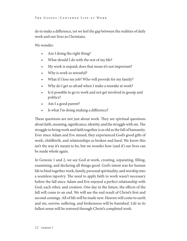do to make a difference, yet we feel the gap between the realities of daily work and our lives as Christians.

We wonder:

- Am I doing the right thing?
- What should I do with the rest of my life?
- My work is unpaid; does that mean it's not important?
- Why is work so stressful?
- What if I lose my job? Who will provide for my family?
- Why do I get so afraid when I make a mistake at work?
- Is it possible to go to work and not get involved in gossip and politics?
- Am I a good parent?
- Is what I'm doing making a difference?

These questions are not just about work. They are spiritual questions about faith, meaning, significance, identity, and the struggle with sin. The struggle to bring work and faith together is as old as the fall of humanity. Ever since Adam and Eve sinned, they experienced God's good gifts of work, childbirth, and relationships as broken and hard. We know this isn't the way it's meant to be, but we wonder how (and if) our lives can be made whole again.

In Genesis 1 and 2, we see God at work, creating, separating, filling, examining, and declaring all things good. God's intent was for human life to bind together work, family, personal spirituality, and worship into a seamless tapestry. The need to apply faith to work wasn't necessary before the fall since Adam and Eve enjoyed a perfect relationship with God, each other, and creation. One day in the future, the effects of the fall will come to an end. We will see the end result of Christ's first and second comings. All of life will be made new. Heaven will come to earth and sin, sorrow, suffering, and brokenness will be banished. Life in its fullest sense will be restored through Christ's completed work.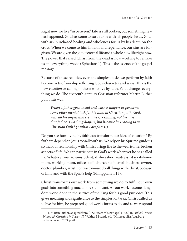Right now we live "in between." Life is still broken, but something new has happened. God has come to earth to be with his people. Jesus, Godwith-us, purchased healing and wholeness for us by his death on the cross. When we come to him in faith and repentance, our sins are forgiven. We are given the gift of eternal life and a whole new life right now. The power that raised Christ from the dead is now working to remake us and everything we do (Ephesians 1). This is the essence of the gospel message.

Because of these realities, even the simplest tasks we perform by faith become acts of worship reflecting God's character and ways. This is the new vocation or calling of those who live by faith. Faith changes everything we do. The sixteenth-century Christian reformer Martin Luther put it this way:

When a father goes ahead and washes diapers or performs some other menial task for his child in Christian faith, God, with all his angels and creatures, is smiling, not because that father is washing diapers, but because he is doing so in Christian faith.<sup>1</sup> (Author Paraphrase)

Do you see how living by faith can transform our idea of vocation? By faith we depend on Jesus to walk with us. We rely on his Spirit to guide us so that our relationship with Christ brings life to the wearisome, broken aspects of life. We can participate in God's work wherever he has called us. Whatever our role—student, dishwasher, waitress, stay-at-home mom, working mom, office staff, church staff, small business owner, doctor, plumber, artist, contractor—we do all things with Christ, because of him, and with the Spirit's help (Philippians 4:13).

Christ transforms our work from something we do to fulfill our own goals into something much more significant. All our work becomes kingdom work, done in the service of the King for his good purposes. This gives meaning and significance to the simplest of tasks. Christ called us to live for him; he prepared good works for us to do, and as we respond

<sup>1.</sup> Martin Luther, adapted from "The Estate of Marriage," (1522) in Luther's Works Volume 45: Christian in Society II. Walther I Brandt, ed. (Minneapolis: Augsburg Fortress Press, 1962), p. 41.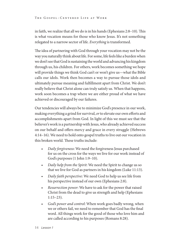in faith, we realize that all we do is in his hands (Ephesians  $2:8-10$ ). This is what vocation means for those who know Jesus. It's not something relegated to a narrow sector of life. Everything is transformed.

The idea of partnering with God through your vocation may not be the way you naturally think about life. For some, life feels like a burden when we don't see that God is sustaining the world and advancing his kingdom through us, his children. For others, work becomes something we hope will provide things we think God can't or won't give us—what the Bible calls our idols. Work then becomes a way to pursue those idols and ultimately pursue meaning and fulfillment apart from Christ. We don't really believe that Christ alone can truly satisfy us. When that happens, work soon becomes a trap where we are either proud of what we have achieved or discouraged by our failures.

Our tendencies will always be to minimize God's presence in our work, making everything a grind for survival, or to elevate our own efforts and accomplishments apart from God. In light of this we must see that the believer's work is a partnership with Jesus, who already achieved success on our behalf and offers mercy and grace in every struggle (Hebrews 4:14–16). We need to hold onto gospel truths to live out our vocation in this broken world. These truths include:

- Daily forgiveness: We need the forgiveness Jesus purchased for us on the cross for the ways we live for our work instead of God's purposes (1 John 1:9–10).
- Daily help from the Spirit: We need the Spirit to change us so that we live for God as partners in his kingdom (Luke 11:13).
- Daily faith perspective: We need God to help us see life from his perspective instead of our own (Ephesians 2:8).
- Resurrection power: We have to ask for the power that raised Christ from the dead to give us strength and help (Ephesians 1:15–23).
- God's power and control: When work goes badly wrong, when we or others fail, we need to remember that God has the final word. All things work for the good of those who love him and are called according to his purposes (Romans 8:28).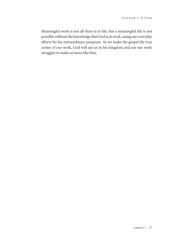Meaningful work is not all there is to life, but a meaningful life is not possible without the knowledge that God is at work, using our everyday efforts for his extraordinary purposes. As we make the gospel the true center of our work, God will use us in his kingdom and use our work struggles to make us more like him.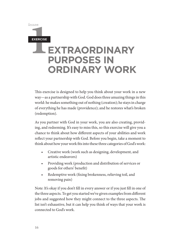lesson



## **1**<br> **124**<br> **124**<br> **124**<br> **124**<br> **124**<br> **124**<br> **124 EXTRAORDINARY PURPOSES IN ORDINARY WORK**

This exercise is designed to help you think about your work in a new way—as a partnership with God. God does three amazing things in this world: he makes something out of nothing (creation); he stays in charge of everything he has made (providence); and he restores what's broken (redemption).

As you partner with God in your work, you are also creating, providing, and redeeming. It's easy to miss this, so this exercise will give you a chance to think about how different aspects of your abilities and work reflect your partnership with God. Before you begin, take a moment to think about how your work fits into these three categories of God's work:

- Creative work (work such as designing, development, and artistic endeavors)
- Providing work (production and distribution of services or goods for others' benefit)
- Redemptive work (fixing brokenness, relieving toil, and removing pain)

Note: It's okay if you don't fill in every answer or if you just fill in one of the three aspects. To get you started we've given examples from different jobs and suggested how they might connect to the three aspects. The list isn't exhaustive, but it can help you think of ways that your work is connected to God's work.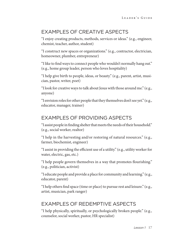#### EXAMPLES OF CREATIVE ASPECTS

"I enjoy creating products, methods, services or ideas." (e.g., engineer, chemist, teacher, author, student)

"I construct new spaces or organizations." (e.g., contractor, electrician, homeowner, plumber, entrepreneur)

"I like to find ways to connect people who wouldn't normally hang out." (e.g., home group leader, person who loves hospitality)

"I help give birth to people, ideas, or beauty." (e.g., parent, artist, musician, pastor, writer, poet)

"I look for creative ways to talk about Jesus with those around me." (e.g., anyone)

"I envision roles for other people that they themselves don't see yet." (e.g., educator, manager, trainer)

#### EXAMPLES OF PROVIDING ASPECTS

"I assist people in finding shelter that meets the needs of their household." (e.g., social worker, realtor)

"I help in the harvesting and/or restoring of natural resources." (e.g., farmer, biochemist, engineer)

"I assist in providing the efficient use of a utility." (e.g., utility worker for water, electric, gas, etc.)

"I help people govern themselves in a way that promotes flourishing." (e.g., politician, activist)

"I educate people and provide a place for community and learning." (e.g., educator, parent)

"I help others find space (time or place) to pursue rest and leisure." (e.g., artist, musician, park ranger)

#### EXAMPLES OF REDEMPTIVE ASPECTS

"I help physically, spiritually, or psychologically broken people." (e.g., counselor, social worker, pastor, HR specialist)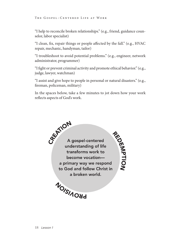"I help to reconcile broken relationships." (e.g., friend, guidance counselor, labor specialist)

"I clean, fix, repair things or people affected by the fall." (e.g., HVAC repair, mechanic, handyman, tailor)

"I troubleshoot to avoid potential problems." (e.g., engineer, network administrator, programmer)

"I fight or prevent criminal activity and promote ethical behavior." (e.g., judge, lawyer, watchman)

"I assist and give hope to people in personal or natural disasters." (e.g., fireman, policeman, military)

In the spaces below, take a few minutes to jot down how your work reflects aspects of God's work.